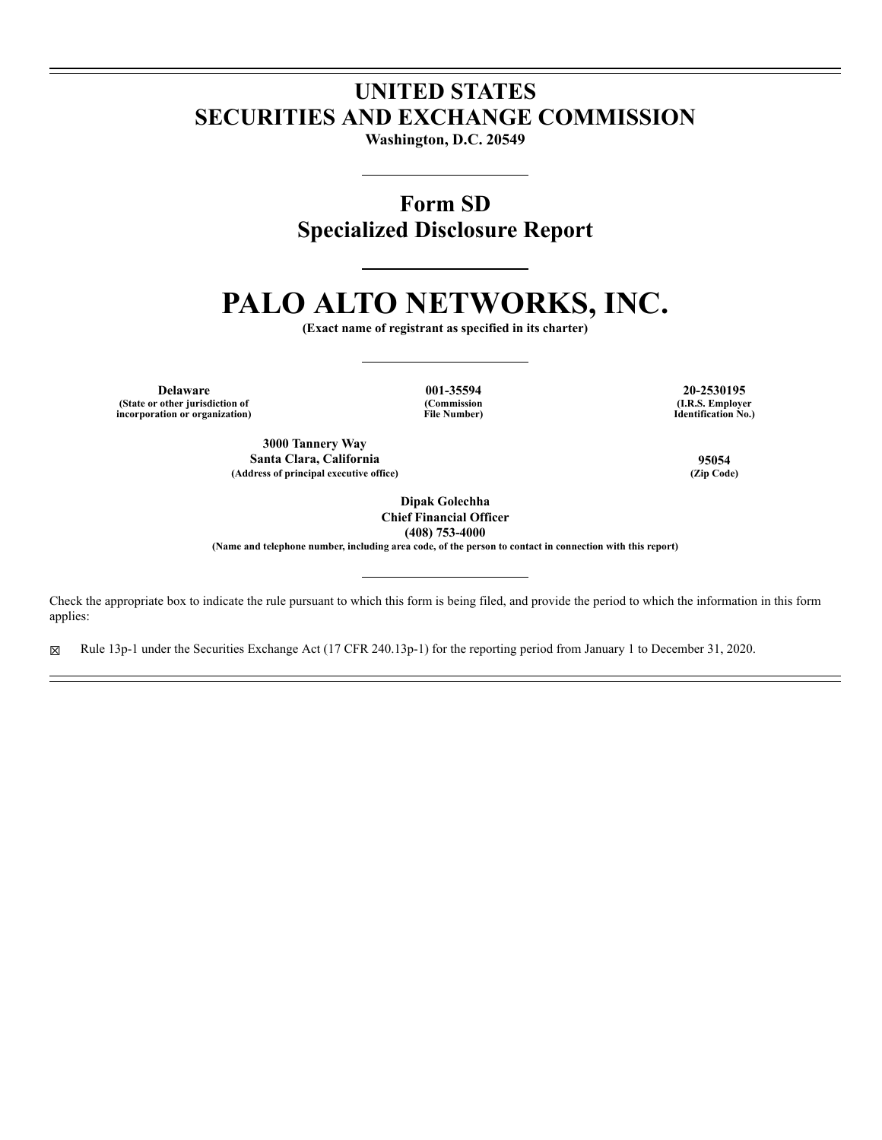# **UNITED STATES SECURITIES AND EXCHANGE COMMISSION**

**Washington, D.C. 20549**

**Form SD Specialized Disclosure Report**

# **PALO ALTO NETWORKS, INC.**

**(Exact name of registrant as specified in its charter)**

**Delaware 001-35594 20-2530195 (State or other jurisdiction of incorporation or organization)**

**(Commission File Number)**

**(I.R.S. Employer Identification No.)**

**3000 Tannery Way Santa Clara, California 95054 (Address of principal executive office) (Zip Code)**

**Dipak Golechha Chief Financial Officer (408) 753-4000**

**(Name and telephone number, including area code, of the person to contact in connection with this report)**

Check the appropriate box to indicate the rule pursuant to which this form is being filed, and provide the period to which the information in this form applies:

☒ Rule 13p-1 under the Securities Exchange Act (17 CFR 240.13p-1) for the reporting period from January 1 to December 31, 2020.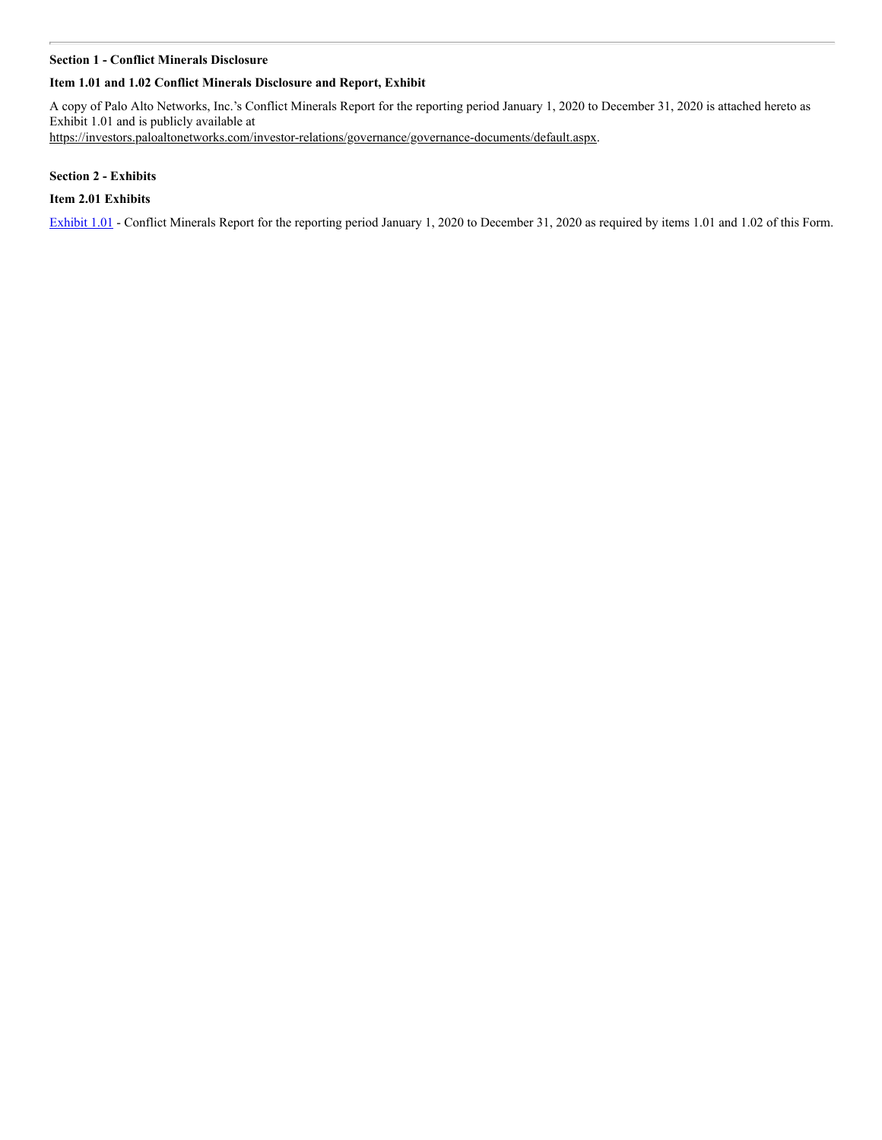#### **Section 1 - Conflict Minerals Disclosure**

# **Item 1.01 and 1.02 Conflict Minerals Disclosure and Report, Exhibit**

A copy of Palo Alto Networks, Inc.'s Conflict Minerals Report for the reporting period January 1, 2020 to December 31, 2020 is attached hereto as Exhibit 1.01 and is publicly available at https://investors.paloaltonetworks.com/investor-relations/governance/governance-documents/default.aspx.

# **Section 2 - Exhibits**

# **Item 2.01 Exhibits**

[Exhibit 1.01](https://www.sec.gov/Archives/edgar/data/1327567/000119312521175249/d482351dex101.htm) - Conflict Minerals Report for the reporting period January 1, 2020 to December 31, 2020 as required by items 1.01 and 1.02 of this Form.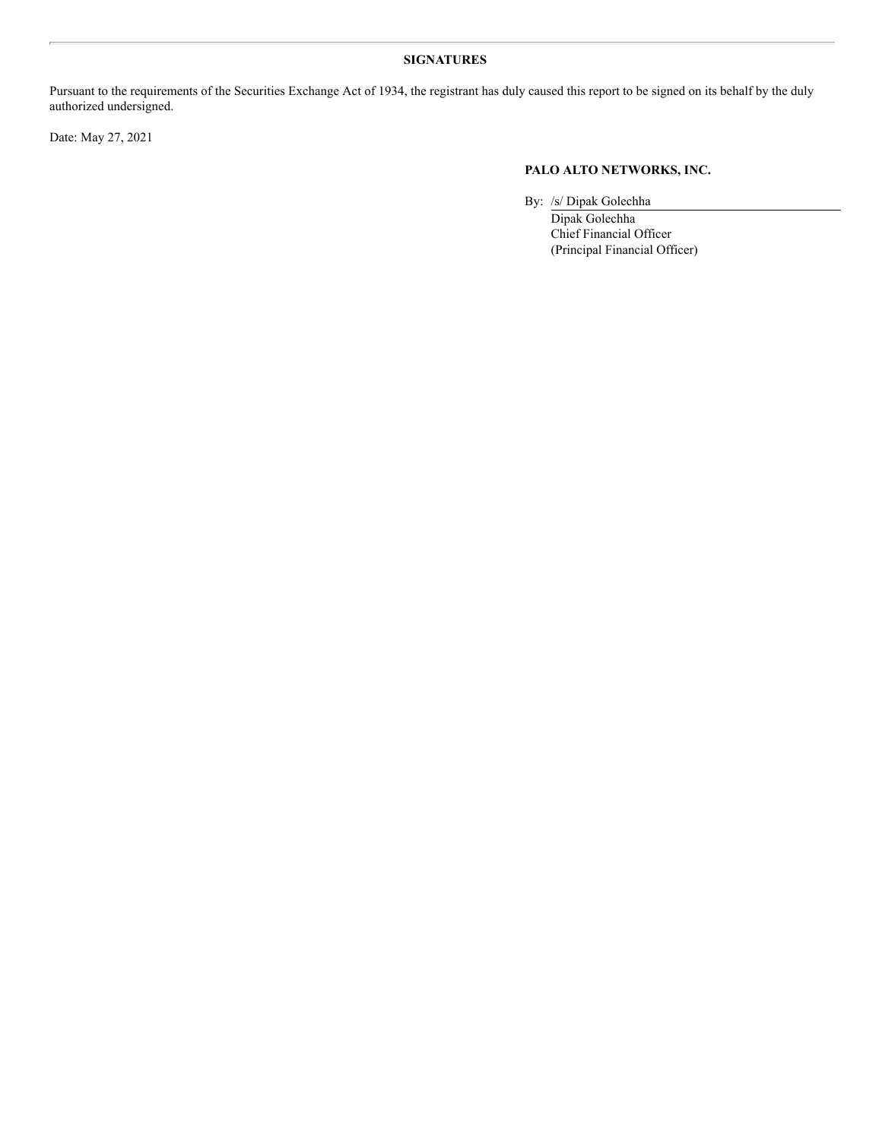# **SIGNATURES**

Pursuant to the requirements of the Securities Exchange Act of 1934, the registrant has duly caused this report to be signed on its behalf by the duly authorized undersigned.

Date: May 27, 2021

# **PALO ALTO NETWORKS, INC.**

By: /s/ Dipak Golechha

Dipak Golechha Chief Financial Officer (Principal Financial Officer)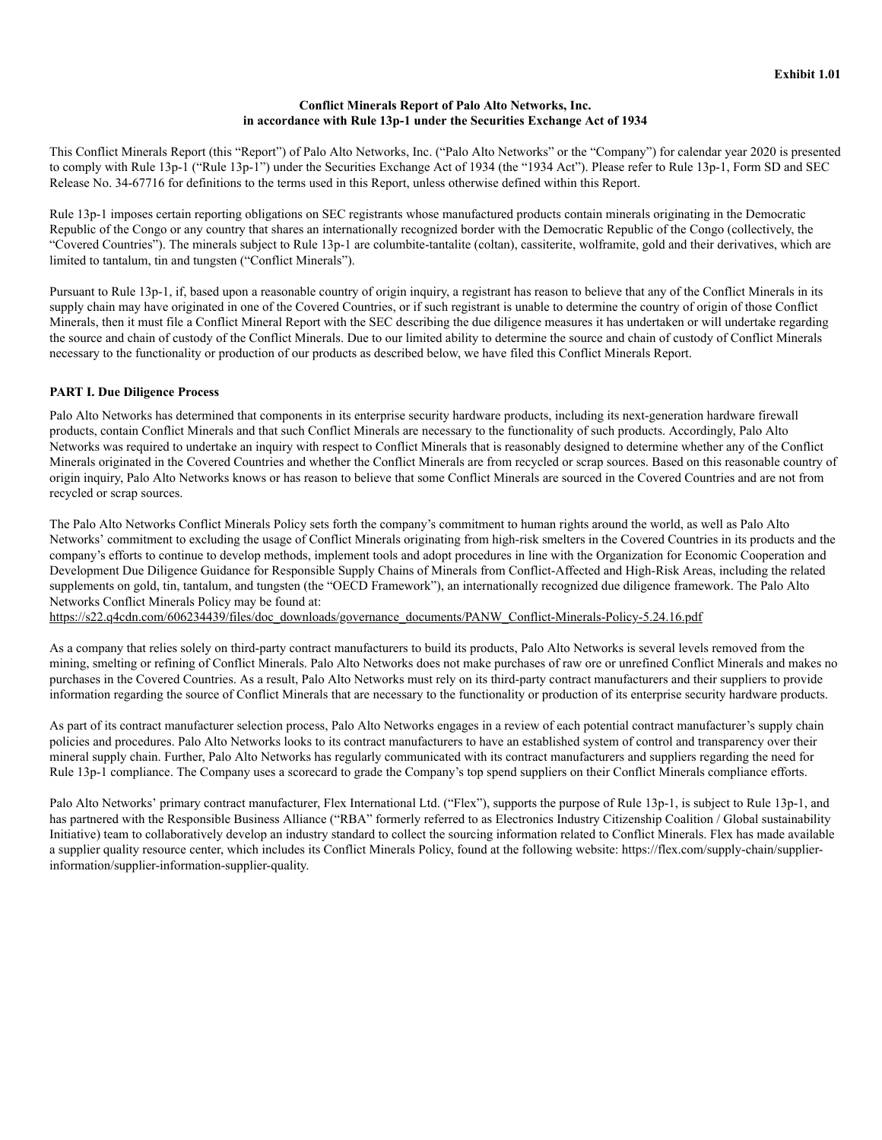#### **Conflict Minerals Report of Palo Alto Networks, Inc. in accordance with Rule 13p-1 under the Securities Exchange Act of 1934**

This Conflict Minerals Report (this "Report") of Palo Alto Networks, Inc. ("Palo Alto Networks" or the "Company") for calendar year 2020 is presented to comply with Rule 13p-1 ("Rule 13p-1") under the Securities Exchange Act of 1934 (the "1934 Act"). Please refer to Rule 13p-1, Form SD and SEC Release No. 34-67716 for definitions to the terms used in this Report, unless otherwise defined within this Report.

Rule 13p-1 imposes certain reporting obligations on SEC registrants whose manufactured products contain minerals originating in the Democratic Republic of the Congo or any country that shares an internationally recognized border with the Democratic Republic of the Congo (collectively, the "Covered Countries"). The minerals subject to Rule 13p-1 are columbite-tantalite (coltan), cassiterite, wolframite, gold and their derivatives, which are limited to tantalum, tin and tungsten ("Conflict Minerals").

Pursuant to Rule 13p-1, if, based upon a reasonable country of origin inquiry, a registrant has reason to believe that any of the Conflict Minerals in its supply chain may have originated in one of the Covered Countries, or if such registrant is unable to determine the country of origin of those Conflict Minerals, then it must file a Conflict Mineral Report with the SEC describing the due diligence measures it has undertaken or will undertake regarding the source and chain of custody of the Conflict Minerals. Due to our limited ability to determine the source and chain of custody of Conflict Minerals necessary to the functionality or production of our products as described below, we have filed this Conflict Minerals Report.

### **PART I. Due Diligence Process**

Palo Alto Networks has determined that components in its enterprise security hardware products, including its next-generation hardware firewall products, contain Conflict Minerals and that such Conflict Minerals are necessary to the functionality of such products. Accordingly, Palo Alto Networks was required to undertake an inquiry with respect to Conflict Minerals that is reasonably designed to determine whether any of the Conflict Minerals originated in the Covered Countries and whether the Conflict Minerals are from recycled or scrap sources. Based on this reasonable country of origin inquiry, Palo Alto Networks knows or has reason to believe that some Conflict Minerals are sourced in the Covered Countries and are not from recycled or scrap sources.

The Palo Alto Networks Conflict Minerals Policy sets forth the company's commitment to human rights around the world, as well as Palo Alto Networks' commitment to excluding the usage of Conflict Minerals originating from high-risk smelters in the Covered Countries in its products and the company's efforts to continue to develop methods, implement tools and adopt procedures in line with the Organization for Economic Cooperation and Development Due Diligence Guidance for Responsible Supply Chains of Minerals from Conflict-Affected and High-Risk Areas, including the related supplements on gold, tin, tantalum, and tungsten (the "OECD Framework"), an internationally recognized due diligence framework. The Palo Alto Networks Conflict Minerals Policy may be found at:

https://s22.q4cdn.com/606234439/files/doc\_downloads/governance\_documents/PANW\_Conflict-Minerals-Policy-5.24.16.pdf

As a company that relies solely on third-party contract manufacturers to build its products, Palo Alto Networks is several levels removed from the mining, smelting or refining of Conflict Minerals. Palo Alto Networks does not make purchases of raw ore or unrefined Conflict Minerals and makes no purchases in the Covered Countries. As a result, Palo Alto Networks must rely on its third-party contract manufacturers and their suppliers to provide information regarding the source of Conflict Minerals that are necessary to the functionality or production of its enterprise security hardware products.

As part of its contract manufacturer selection process, Palo Alto Networks engages in a review of each potential contract manufacturer's supply chain policies and procedures. Palo Alto Networks looks to its contract manufacturers to have an established system of control and transparency over their mineral supply chain. Further, Palo Alto Networks has regularly communicated with its contract manufacturers and suppliers regarding the need for Rule 13p-1 compliance. The Company uses a scorecard to grade the Company's top spend suppliers on their Conflict Minerals compliance efforts.

Palo Alto Networks' primary contract manufacturer, Flex International Ltd. ("Flex"), supports the purpose of Rule 13p-1, is subject to Rule 13p-1, and has partnered with the Responsible Business Alliance ("RBA" formerly referred to as Electronics Industry Citizenship Coalition / Global sustainability Initiative) team to collaboratively develop an industry standard to collect the sourcing information related to Conflict Minerals. Flex has made available a supplier quality resource center, which includes its Conflict Minerals Policy, found at the following website: https://flex.com/supply-chain/supplierinformation/supplier-information-supplier-quality.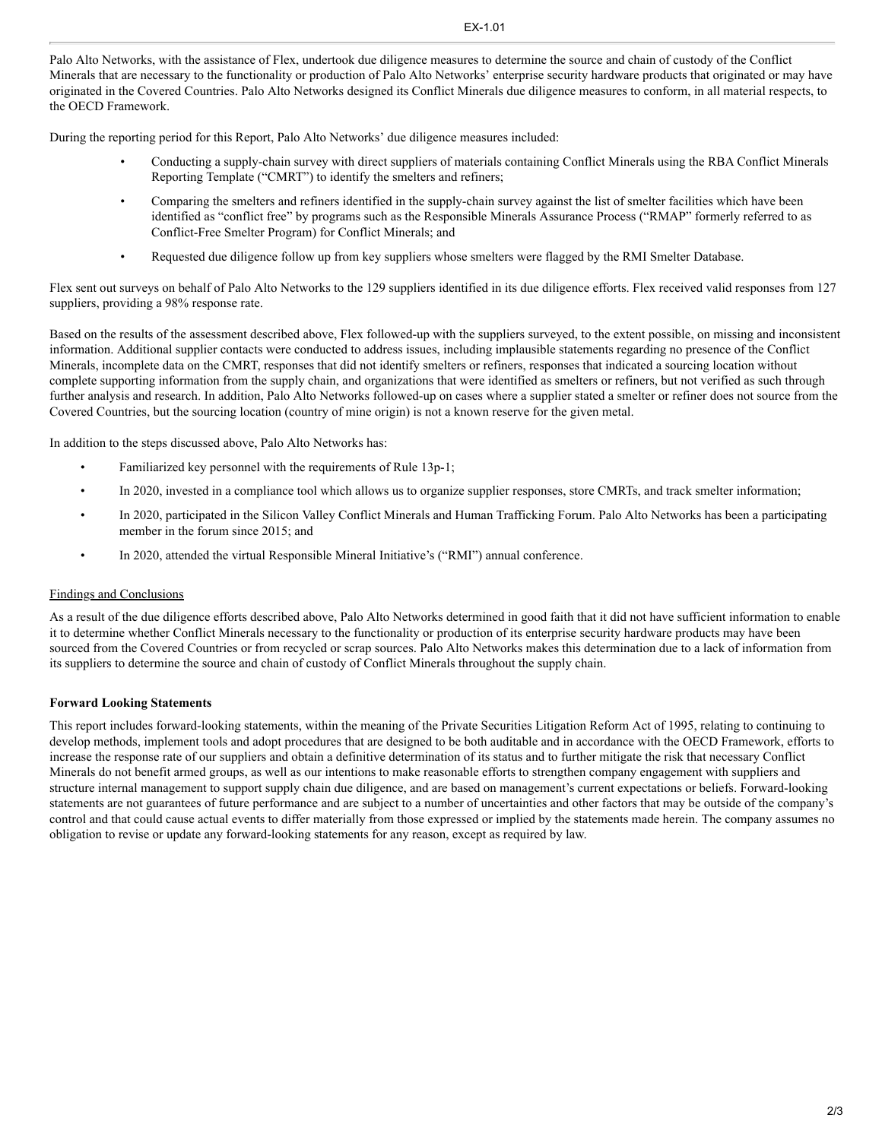Palo Alto Networks, with the assistance of Flex, undertook due diligence measures to determine the source and chain of custody of the Conflict Minerals that are necessary to the functionality or production of Palo Alto Networks' enterprise security hardware products that originated or may have originated in the Covered Countries. Palo Alto Networks designed its Conflict Minerals due diligence measures to conform, in all material respects, to the OECD Framework.

During the reporting period for this Report, Palo Alto Networks' due diligence measures included:

- Conducting a supply-chain survey with direct suppliers of materials containing Conflict Minerals using the RBA Conflict Minerals Reporting Template ("CMRT") to identify the smelters and refiners;
- Comparing the smelters and refiners identified in the supply-chain survey against the list of smelter facilities which have been identified as "conflict free" by programs such as the Responsible Minerals Assurance Process ("RMAP" formerly referred to as Conflict-Free Smelter Program) for Conflict Minerals; and
- Requested due diligence follow up from key suppliers whose smelters were flagged by the RMI Smelter Database.

Flex sent out surveys on behalf of Palo Alto Networks to the 129 suppliers identified in its due diligence efforts. Flex received valid responses from 127 suppliers, providing a 98% response rate.

Based on the results of the assessment described above, Flex followed-up with the suppliers surveyed, to the extent possible, on missing and inconsistent information. Additional supplier contacts were conducted to address issues, including implausible statements regarding no presence of the Conflict Minerals, incomplete data on the CMRT, responses that did not identify smelters or refiners, responses that indicated a sourcing location without complete supporting information from the supply chain, and organizations that were identified as smelters or refiners, but not verified as such through further analysis and research. In addition, Palo Alto Networks followed-up on cases where a supplier stated a smelter or refiner does not source from the Covered Countries, but the sourcing location (country of mine origin) is not a known reserve for the given metal.

In addition to the steps discussed above, Palo Alto Networks has:

- Familiarized key personnel with the requirements of Rule 13p-1;
- In 2020, invested in a compliance tool which allows us to organize supplier responses, store CMRTs, and track smelter information;
- In 2020, participated in the Silicon Valley Conflict Minerals and Human Trafficking Forum. Palo Alto Networks has been a participating member in the forum since 2015; and
- In 2020, attended the virtual Responsible Mineral Initiative's ("RMI") annual conference.

# Findings and Conclusions

As a result of the due diligence efforts described above, Palo Alto Networks determined in good faith that it did not have sufficient information to enable it to determine whether Conflict Minerals necessary to the functionality or production of its enterprise security hardware products may have been sourced from the Covered Countries or from recycled or scrap sources. Palo Alto Networks makes this determination due to a lack of information from its suppliers to determine the source and chain of custody of Conflict Minerals throughout the supply chain.

# **Forward Looking Statements**

This report includes forward-looking statements, within the meaning of the Private Securities Litigation Reform Act of 1995, relating to continuing to develop methods, implement tools and adopt procedures that are designed to be both auditable and in accordance with the OECD Framework, efforts to increase the response rate of our suppliers and obtain a definitive determination of its status and to further mitigate the risk that necessary Conflict Minerals do not benefit armed groups, as well as our intentions to make reasonable efforts to strengthen company engagement with suppliers and structure internal management to support supply chain due diligence, and are based on management's current expectations or beliefs. Forward-looking statements are not guarantees of future performance and are subject to a number of uncertainties and other factors that may be outside of the company's control and that could cause actual events to differ materially from those expressed or implied by the statements made herein. The company assumes no obligation to revise or update any forward-looking statements for any reason, except as required by law.